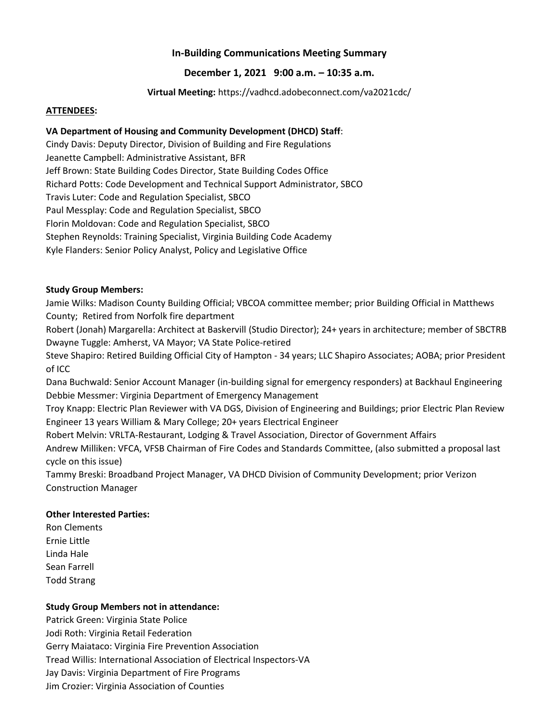# **In-Building Communications Meeting Summary**

### **December 1, 2021 9:00 a.m. – 10:35 a.m.**

**Virtual Meeting:** https://vadhcd.adobeconnect.com/va2021cdc/

#### **ATTENDEES:**

#### **VA Department of Housing and Community Development (DHCD) Staff**:

Cindy Davis: Deputy Director, Division of Building and Fire Regulations Jeanette Campbell: Administrative Assistant, BFR Jeff Brown: State Building Codes Director, State Building Codes Office Richard Potts: Code Development and Technical Support Administrator, SBCO Travis Luter: Code and Regulation Specialist, SBCO Paul Messplay: Code and Regulation Specialist, SBCO Florin Moldovan: Code and Regulation Specialist, SBCO Stephen Reynolds: Training Specialist, Virginia Building Code Academy Kyle Flanders: Senior Policy Analyst, Policy and Legislative Office

#### **Study Group Members:**

Jamie Wilks: Madison County Building Official; VBCOA committee member; prior Building Official in Matthews County; Retired from Norfolk fire department

Robert (Jonah) Margarella: Architect at Baskervill (Studio Director); 24+ years in architecture; member of SBCTRB Dwayne Tuggle: Amherst, VA Mayor; VA State Police-retired

Steve Shapiro: Retired Building Official City of Hampton - 34 years; LLC Shapiro Associates; AOBA; prior President of ICC

Dana Buchwald: Senior Account Manager (in-building signal for emergency responders) at Backhaul Engineering Debbie Messmer: Virginia Department of Emergency Management

Troy Knapp: Electric Plan Reviewer with VA DGS, Division of Engineering and Buildings; prior Electric Plan Review Engineer 13 years William & Mary College; 20+ years Electrical Engineer

Robert Melvin: VRLTA-Restaurant, Lodging & Travel Association, Director of Government Affairs

Andrew Milliken: VFCA, VFSB Chairman of Fire Codes and Standards Committee, (also submitted a proposal last cycle on this issue)

Tammy Breski: Broadband Project Manager, VA DHCD Division of Community Development; prior Verizon Construction Manager

#### **Other Interested Parties:**

Ron Clements Ernie Little Linda Hale Sean Farrell Todd Strang

#### **Study Group Members not in attendance:**

Patrick Green: Virginia State Police Jodi Roth: Virginia Retail Federation Gerry Maiataco: Virginia Fire Prevention Association Tread Willis: International Association of Electrical Inspectors-VA Jay Davis: Virginia Department of Fire Programs Jim Crozier: Virginia Association of Counties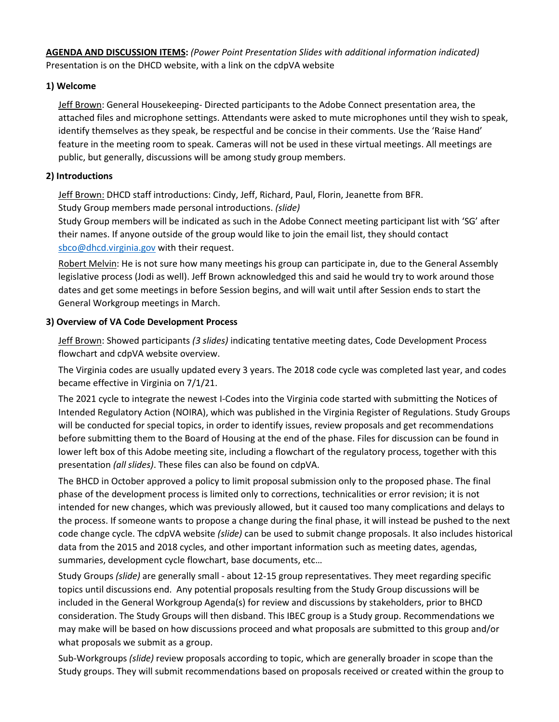**AGENDA AND DISCUSSION ITEMS:** *(Power Point Presentation Slides with additional information indicated)* Presentation is on the DHCD website, with a link on the cdpVA website

# **1) Welcome**

Jeff Brown: General Housekeeping- Directed participants to the Adobe Connect presentation area, the attached files and microphone settings. Attendants were asked to mute microphones until they wish to speak, identify themselves as they speak, be respectful and be concise in their comments. Use the 'Raise Hand' feature in the meeting room to speak. Cameras will not be used in these virtual meetings. All meetings are public, but generally, discussions will be among study group members.

### **2) Introductions**

Jeff Brown: DHCD staff introductions: Cindy, Jeff, Richard, Paul, Florin, Jeanette from BFR. Study Group members made personal introductions. *(slide)*

Study Group members will be indicated as such in the Adobe Connect meeting participant list with 'SG' after their names. If anyone outside of the group would like to join the email list, they should contact [sbco@dhcd.virginia.gov](mailto:sbco@dhcd.virginia.gov) with their request.

Robert Melvin: He is not sure how many meetings his group can participate in, due to the General Assembly legislative process (Jodi as well). Jeff Brown acknowledged this and said he would try to work around those dates and get some meetings in before Session begins, and will wait until after Session ends to start the General Workgroup meetings in March.

#### **3) Overview of VA Code Development Process**

Jeff Brown: Showed participants *(3 slides)* indicating tentative meeting dates, Code Development Process flowchart and cdpVA website overview.

The Virginia codes are usually updated every 3 years. The 2018 code cycle was completed last year, and codes became effective in Virginia on 7/1/21.

The 2021 cycle to integrate the newest I-Codes into the Virginia code started with submitting the Notices of Intended Regulatory Action (NOIRA), which was published in the Virginia Register of Regulations. Study Groups will be conducted for special topics, in order to identify issues, review proposals and get recommendations before submitting them to the Board of Housing at the end of the phase. Files for discussion can be found in lower left box of this Adobe meeting site, including a flowchart of the regulatory process, together with this presentation *(all slides)*. These files can also be found on cdpVA.

The BHCD in October approved a policy to limit proposal submission only to the proposed phase. The final phase of the development process is limited only to corrections, technicalities or error revision; it is not intended for new changes, which was previously allowed, but it caused too many complications and delays to the process. If someone wants to propose a change during the final phase, it will instead be pushed to the next code change cycle. The cdpVA website *(slide)* can be used to submit change proposals. It also includes historical data from the 2015 and 2018 cycles, and other important information such as meeting dates, agendas, summaries, development cycle flowchart, base documents, etc…

Study Groups *(slide)* are generally small - about 12-15 group representatives. They meet regarding specific topics until discussions end. Any potential proposals resulting from the Study Group discussions will be included in the General Workgroup Agenda(s) for review and discussions by stakeholders, prior to BHCD consideration. The Study Groups will then disband. This IBEC group is a Study group. Recommendations we may make will be based on how discussions proceed and what proposals are submitted to this group and/or what proposals we submit as a group.

Sub-Workgroups *(slide)* review proposals according to topic, which are generally broader in scope than the Study groups. They will submit recommendations based on proposals received or created within the group to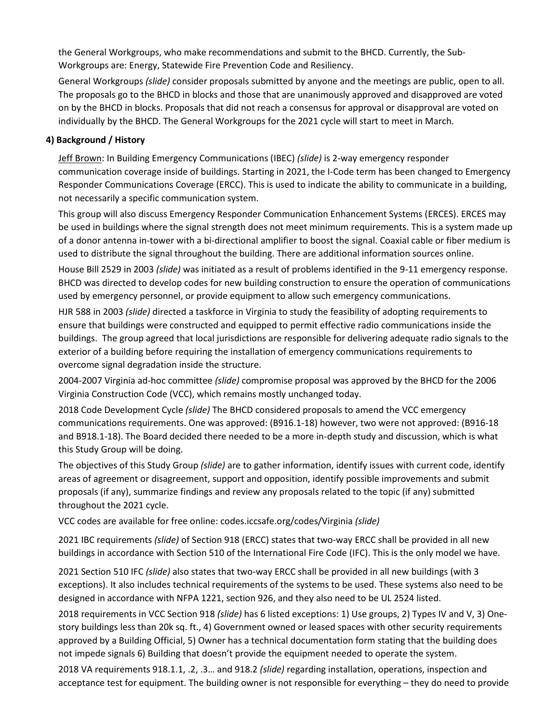the General Workgroups, who make recommendations and submit to the BHCD. Currently, the Sub-Workgroups are: Energy, Statewide Fire Prevention Code and Resiliency.

General Workgroups *(slide)* consider proposals submitted by anyone and the meetings are public, open to all. The proposals go to the BHCD in blocks and those that are unanimously approved and disapproved are voted on by the BHCD in blocks. Proposals that did not reach a consensus for approval or disapproval are voted on individually by the BHCD. The General Workgroups for the 2021 cycle will start to meet in March.

# **4) Background / History**

Jeff Brown: In Building Emergency Communications (IBEC) *(slide)* is 2-way emergency responder communication coverage inside of buildings. Starting in 2021, the I-Code term has been changed to Emergency Responder Communications Coverage (ERCC). This is used to indicate the ability to communicate in a building, not necessarily a specific communication system.

This group will also discuss Emergency Responder Communication Enhancement Systems (ERCES). ERCES may be used in buildings where the signal strength does not meet minimum requirements. This is a system made up of a donor antenna in-tower with a bi-directional amplifier to boost the signal. Coaxial cable or fiber medium is used to distribute the signal throughout the building. There are additional information sources online.

House Bill 2529 in 2003 *(slide)* was initiated as a result of problems identified in the 9-11 emergency response. BHCD was directed to develop codes for new building construction to ensure the operation of communications used by emergency personnel, or provide equipment to allow such emergency communications.

HJR 588 in 2003 *(slide)* directed a taskforce in Virginia to study the feasibility of adopting requirements to ensure that buildings were constructed and equipped to permit effective radio communications inside the buildings. The group agreed that local jurisdictions are responsible for delivering adequate radio signals to the exterior of a building before requiring the installation of emergency communications requirements to overcome signal degradation inside the structure.

2004-2007 Virginia ad-hoc committee *(slide)* compromise proposal was approved by the BHCD for the 2006 Virginia Construction Code (VCC), which remains mostly unchanged today.

2018 Code Development Cycle *(slide)* The BHCD considered proposals to amend the VCC emergency communications requirements. One was approved: (B916.1-18) however, two were not approved: (B916-18 and B918.1-18). The Board decided there needed to be a more in-depth study and discussion, which is what this Study Group will be doing.

The objectives of this Study Group *(slide)* are to gather information, identify issues with current code, identify areas of agreement or disagreement, support and opposition, identify possible improvements and submit proposals (if any), summarize findings and review any proposals related to the topic (if any) submitted throughout the 2021 cycle.

# VCC codes are available for free online: codes.iccsafe.org/codes/Virginia *(slide)*

2021 IBC requirements *(slide)* of Section 918 (ERCC) states that two-way ERCC shall be provided in all new buildings in accordance with Section 510 of the International Fire Code (IFC). This is the only model we have.

2021 Section 510 IFC *(slide)* also states that two-way ERCC shall be provided in all new buildings (with 3 exceptions). It also includes technical requirements of the systems to be used. These systems also need to be designed in accordance with NFPA 1221, section 926, and they also need to be UL 2524 listed.

2018 requirements in VCC Section 918 *(slide)* has 6 listed exceptions: 1) Use groups, 2) Types IV and V, 3) Onestory buildings less than 20k sq. ft., 4) Government owned or leased spaces with other security requirements approved by a Building Official, 5) Owner has a technical documentation form stating that the building does not impede signals 6) Building that doesn't provide the equipment needed to operate the system.

2018 VA requirements 918.1.1, .2, .3… and 918.2 *(slide)* regarding installation, operations, inspection and acceptance test for equipment. The building owner is not responsible for everything – they do need to provide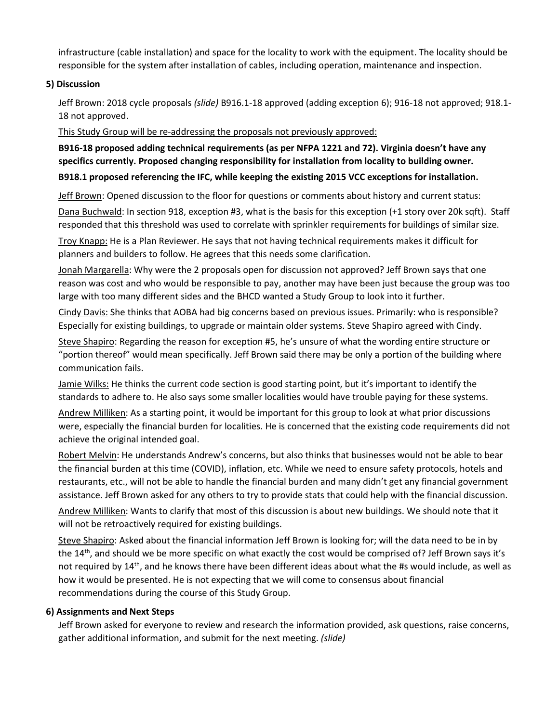infrastructure (cable installation) and space for the locality to work with the equipment. The locality should be responsible for the system after installation of cables, including operation, maintenance and inspection.

# **5) Discussion**

Jeff Brown: 2018 cycle proposals *(slide)* B916.1-18 approved (adding exception 6); 916-18 not approved; 918.1- 18 not approved.

This Study Group will be re-addressing the proposals not previously approved:

**B916-18 proposed adding technical requirements (as per NFPA 1221 and 72). Virginia doesn't have any specifics currently. Proposed changing responsibility for installation from locality to building owner.**

#### **B918.1 proposed referencing the IFC, while keeping the existing 2015 VCC exceptions for installation.**

Jeff Brown: Opened discussion to the floor for questions or comments about history and current status:

Dana Buchwald: In section 918, exception #3, what is the basis for this exception (+1 story over 20k sqft). Staff responded that this threshold was used to correlate with sprinkler requirements for buildings of similar size.

Troy Knapp: He is a Plan Reviewer. He says that not having technical requirements makes it difficult for planners and builders to follow. He agrees that this needs some clarification.

Jonah Margarella: Why were the 2 proposals open for discussion not approved? Jeff Brown says that one reason was cost and who would be responsible to pay, another may have been just because the group was too large with too many different sides and the BHCD wanted a Study Group to look into it further.

Cindy Davis: She thinks that AOBA had big concerns based on previous issues. Primarily: who is responsible? Especially for existing buildings, to upgrade or maintain older systems. Steve Shapiro agreed with Cindy.

Steve Shapiro: Regarding the reason for exception #5, he's unsure of what the wording entire structure or "portion thereof" would mean specifically. Jeff Brown said there may be only a portion of the building where communication fails.

Jamie Wilks: He thinks the current code section is good starting point, but it's important to identify the standards to adhere to. He also says some smaller localities would have trouble paying for these systems.

Andrew Milliken: As a starting point, it would be important for this group to look at what prior discussions were, especially the financial burden for localities. He is concerned that the existing code requirements did not achieve the original intended goal.

Robert Melvin: He understands Andrew's concerns, but also thinks that businesses would not be able to bear the financial burden at this time (COVID), inflation, etc. While we need to ensure safety protocols, hotels and restaurants, etc., will not be able to handle the financial burden and many didn't get any financial government assistance. Jeff Brown asked for any others to try to provide stats that could help with the financial discussion.

Andrew Milliken: Wants to clarify that most of this discussion is about new buildings. We should note that it will not be retroactively required for existing buildings.

Steve Shapiro: Asked about the financial information Jeff Brown is looking for; will the data need to be in by the 14th, and should we be more specific on what exactly the cost would be comprised of? Jeff Brown says it's not required by 14<sup>th</sup>, and he knows there have been different ideas about what the #s would include, as well as how it would be presented. He is not expecting that we will come to consensus about financial recommendations during the course of this Study Group.

#### **6) Assignments and Next Steps**

Jeff Brown asked for everyone to review and research the information provided, ask questions, raise concerns, gather additional information, and submit for the next meeting. *(slide)*